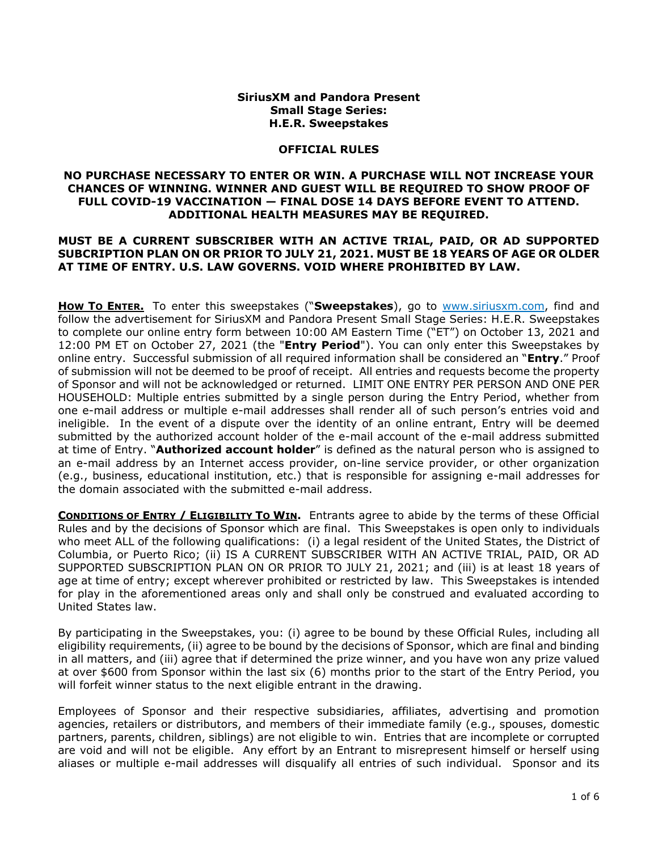## **SiriusXM and Pandora Present Small Stage Series: H.E.R. Sweepstakes**

## **OFFICIAL RULES**

## **NO PURCHASE NECESSARY TO ENTER OR WIN. A PURCHASE WILL NOT INCREASE YOUR CHANCES OF WINNING. WINNER AND GUEST WILL BE REQUIRED TO SHOW PROOF OF FULL COVID-19 VACCINATION — FINAL DOSE 14 DAYS BEFORE EVENT TO ATTEND. ADDITIONAL HEALTH MEASURES MAY BE REQUIRED.**

## **MUST BE A CURRENT SUBSCRIBER WITH AN ACTIVE TRIAL, PAID, OR AD SUPPORTED SUBCRIPTION PLAN ON OR PRIOR TO JULY 21, 2021. MUST BE 18 YEARS OF AGE OR OLDER AT TIME OF ENTRY. U.S. LAW GOVERNS. VOID WHERE PROHIBITED BY LAW.**

**How To ENTER.** To enter this sweepstakes ("Sweepstakes), go to [www.siriusxm.com,](http://www.siriusxm.com/) find and follow the advertisement for SiriusXM and Pandora Present Small Stage Series: H.E.R. Sweepstakes to complete our online entry form between 10:00 AM Eastern Time ("ET") on October 13, 2021 and 12:00 PM ET on October 27, 2021 (the "**Entry Period**"). You can only enter this Sweepstakes by online entry. Successful submission of all required information shall be considered an "**Entry**." Proof of submission will not be deemed to be proof of receipt. All entries and requests become the property of Sponsor and will not be acknowledged or returned. LIMIT ONE ENTRY PER PERSON AND ONE PER HOUSEHOLD: Multiple entries submitted by a single person during the Entry Period, whether from one e-mail address or multiple e-mail addresses shall render all of such person's entries void and ineligible. In the event of a dispute over the identity of an online entrant, Entry will be deemed submitted by the authorized account holder of the e-mail account of the e-mail address submitted at time of Entry. "**Authorized account holder**" is defined as the natural person who is assigned to an e-mail address by an Internet access provider, on-line service provider, or other organization (e.g., business, educational institution, etc.) that is responsible for assigning e-mail addresses for the domain associated with the submitted e-mail address.

**CONDITIONS OF ENTRY / ELIGIBILITY TO WIN.** Entrants agree to abide by the terms of these Official Rules and by the decisions of Sponsor which are final. This Sweepstakes is open only to individuals who meet ALL of the following qualifications: (i) a legal resident of the United States, the District of Columbia, or Puerto Rico; (ii) IS A CURRENT SUBSCRIBER WITH AN ACTIVE TRIAL, PAID, OR AD SUPPORTED SUBSCRIPTION PLAN ON OR PRIOR TO JULY 21, 2021; and (iii) is at least 18 years of age at time of entry; except wherever prohibited or restricted by law. This Sweepstakes is intended for play in the aforementioned areas only and shall only be construed and evaluated according to United States law.

By participating in the Sweepstakes, you: (i) agree to be bound by these Official Rules, including all eligibility requirements, (ii) agree to be bound by the decisions of Sponsor, which are final and binding in all matters, and (iii) agree that if determined the prize winner, and you have won any prize valued at over \$600 from Sponsor within the last six (6) months prior to the start of the Entry Period, you will forfeit winner status to the next eligible entrant in the drawing.

Employees of Sponsor and their respective subsidiaries, affiliates, advertising and promotion agencies, retailers or distributors, and members of their immediate family (e.g., spouses, domestic partners, parents, children, siblings) are not eligible to win. Entries that are incomplete or corrupted are void and will not be eligible. Any effort by an Entrant to misrepresent himself or herself using aliases or multiple e-mail addresses will disqualify all entries of such individual. Sponsor and its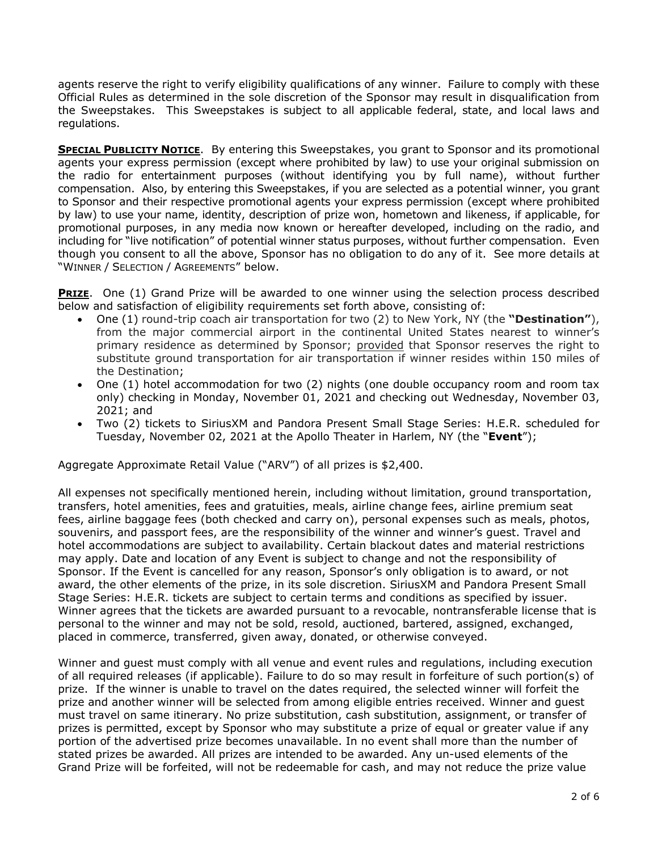agents reserve the right to verify eligibility qualifications of any winner. Failure to comply with these Official Rules as determined in the sole discretion of the Sponsor may result in disqualification from the Sweepstakes. This Sweepstakes is subject to all applicable federal, state, and local laws and regulations.

**SPECIAL PUBLICITY NOTICE**. By entering this Sweepstakes, you grant to Sponsor and its promotional agents your express permission (except where prohibited by law) to use your original submission on the radio for entertainment purposes (without identifying you by full name), without further compensation. Also, by entering this Sweepstakes, if you are selected as a potential winner, you grant to Sponsor and their respective promotional agents your express permission (except where prohibited by law) to use your name, identity, description of prize won, hometown and likeness, if applicable, for promotional purposes, in any media now known or hereafter developed, including on the radio, and including for "live notification" of potential winner status purposes, without further compensation. Even though you consent to all the above, Sponsor has no obligation to do any of it. See more details at "WINNER / SELECTION / AGREEMENTS" below.

**PRIZE.** One (1) Grand Prize will be awarded to one winner using the selection process described below and satisfaction of eligibility requirements set forth above, consisting of:

- One (1) round-trip coach air transportation for two (2) to New York, NY (the **"Destination"**), from the major commercial airport in the continental United States nearest to winner's primary residence as determined by Sponsor; provided that Sponsor reserves the right to substitute ground transportation for air transportation if winner resides within 150 miles of the Destination;
- One (1) hotel accommodation for two (2) nights (one double occupancy room and room tax only) checking in Monday, November 01, 2021 and checking out Wednesday, November 03, 2021; and
- Two (2) tickets to SiriusXM and Pandora Present Small Stage Series: H.E.R. scheduled for Tuesday, November 02, 2021 at the Apollo Theater in Harlem, NY (the "**Event**");

Aggregate Approximate Retail Value ("ARV") of all prizes is \$2,400.

All expenses not specifically mentioned herein, including without limitation, ground transportation, transfers, hotel amenities, fees and gratuities, meals, airline change fees, airline premium seat fees, airline baggage fees (both checked and carry on), personal expenses such as meals, photos, souvenirs, and passport fees, are the responsibility of the winner and winner's guest. Travel and hotel accommodations are subject to availability. Certain blackout dates and material restrictions may apply. Date and location of any Event is subject to change and not the responsibility of Sponsor. If the Event is cancelled for any reason, Sponsor's only obligation is to award, or not award, the other elements of the prize, in its sole discretion. SiriusXM and Pandora Present Small Stage Series: H.E.R. tickets are subject to certain terms and conditions as specified by issuer. Winner agrees that the tickets are awarded pursuant to a revocable, nontransferable license that is personal to the winner and may not be sold, resold, auctioned, bartered, assigned, exchanged, placed in commerce, transferred, given away, donated, or otherwise conveyed.

Winner and guest must comply with all venue and event rules and regulations, including execution of all required releases (if applicable). Failure to do so may result in forfeiture of such portion(s) of prize. If the winner is unable to travel on the dates required, the selected winner will forfeit the prize and another winner will be selected from among eligible entries received. Winner and guest must travel on same itinerary. No prize substitution, cash substitution, assignment, or transfer of prizes is permitted, except by Sponsor who may substitute a prize of equal or greater value if any portion of the advertised prize becomes unavailable. In no event shall more than the number of stated prizes be awarded. All prizes are intended to be awarded. Any un-used elements of the Grand Prize will be forfeited, will not be redeemable for cash, and may not reduce the prize value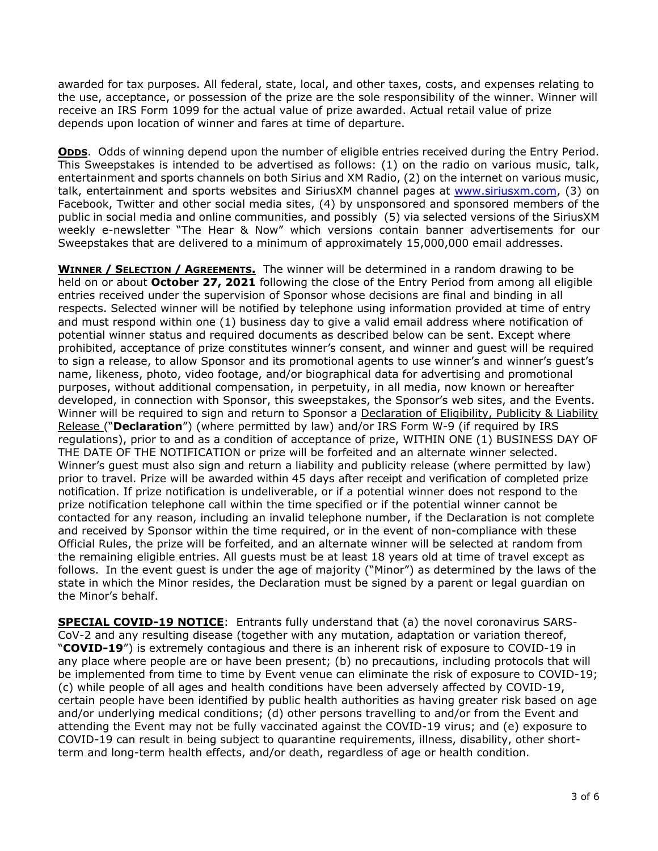awarded for tax purposes. All federal, state, local, and other taxes, costs, and expenses relating to the use, acceptance, or possession of the prize are the sole responsibility of the winner. Winner will receive an IRS Form 1099 for the actual value of prize awarded. Actual retail value of prize depends upon location of winner and fares at time of departure.

**ODDS**. Odds of winning depend upon the number of eligible entries received during the Entry Period. This Sweepstakes is intended to be advertised as follows: (1) on the radio on various music, talk, entertainment and sports channels on both Sirius and XM Radio, (2) on the internet on various music, talk, entertainment and sports websites and SiriusXM channel pages at [www.siriusxm.com,](http://www.siriusxm.com/) (3) on Facebook, Twitter and other social media sites, (4) by unsponsored and sponsored members of the public in social media and online communities, and possibly (5) via selected versions of the SiriusXM weekly e-newsletter "The Hear & Now" which versions contain banner advertisements for our Sweepstakes that are delivered to a minimum of approximately 15,000,000 email addresses.

**WINNER / SELECTION / AGREEMENTS.** The winner will be determined in a random drawing to be held on or about **October 27, 2021** following the close of the Entry Period from among all eligible entries received under the supervision of Sponsor whose decisions are final and binding in all respects. Selected winner will be notified by telephone using information provided at time of entry and must respond within one (1) business day to give a valid email address where notification of potential winner status and required documents as described below can be sent. Except where prohibited, acceptance of prize constitutes winner's consent, and winner and guest will be required to sign a release, to allow Sponsor and its promotional agents to use winner's and winner's guest's name, likeness, photo, video footage, and/or biographical data for advertising and promotional purposes, without additional compensation, in perpetuity, in all media, now known or hereafter developed, in connection with Sponsor, this sweepstakes, the Sponsor's web sites, and the Events. Winner will be required to sign and return to Sponsor a Declaration of Eligibility, Publicity & Liability Release ("**Declaration**") (where permitted by law) and/or IRS Form W-9 (if required by IRS regulations), prior to and as a condition of acceptance of prize, WITHIN ONE (1) BUSINESS DAY OF THE DATE OF THE NOTIFICATION or prize will be forfeited and an alternate winner selected. Winner's guest must also sign and return a liability and publicity release (where permitted by law) prior to travel. Prize will be awarded within 45 days after receipt and verification of completed prize notification. If prize notification is undeliverable, or if a potential winner does not respond to the prize notification telephone call within the time specified or if the potential winner cannot be contacted for any reason, including an invalid telephone number, if the Declaration is not complete and received by Sponsor within the time required, or in the event of non-compliance with these Official Rules, the prize will be forfeited, and an alternate winner will be selected at random from the remaining eligible entries. All guests must be at least 18 years old at time of travel except as follows. In the event guest is under the age of majority ("Minor") as determined by the laws of the state in which the Minor resides, the Declaration must be signed by a parent or legal guardian on the Minor's behalf.

**SPECIAL COVID-19 NOTICE:** Entrants fully understand that (a) the novel coronavirus SARS-CoV-2 and any resulting disease (together with any mutation, adaptation or variation thereof, "**COVID-19**") is extremely contagious and there is an inherent risk of exposure to COVID-19 in any place where people are or have been present; (b) no precautions, including protocols that will be implemented from time to time by Event venue can eliminate the risk of exposure to COVID-19; (c) while people of all ages and health conditions have been adversely affected by COVID-19, certain people have been identified by public health authorities as having greater risk based on age and/or underlying medical conditions; (d) other persons travelling to and/or from the Event and attending the Event may not be fully vaccinated against the COVID-19 virus; and (e) exposure to COVID-19 can result in being subject to quarantine requirements, illness, disability, other shortterm and long-term health effects, and/or death, regardless of age or health condition.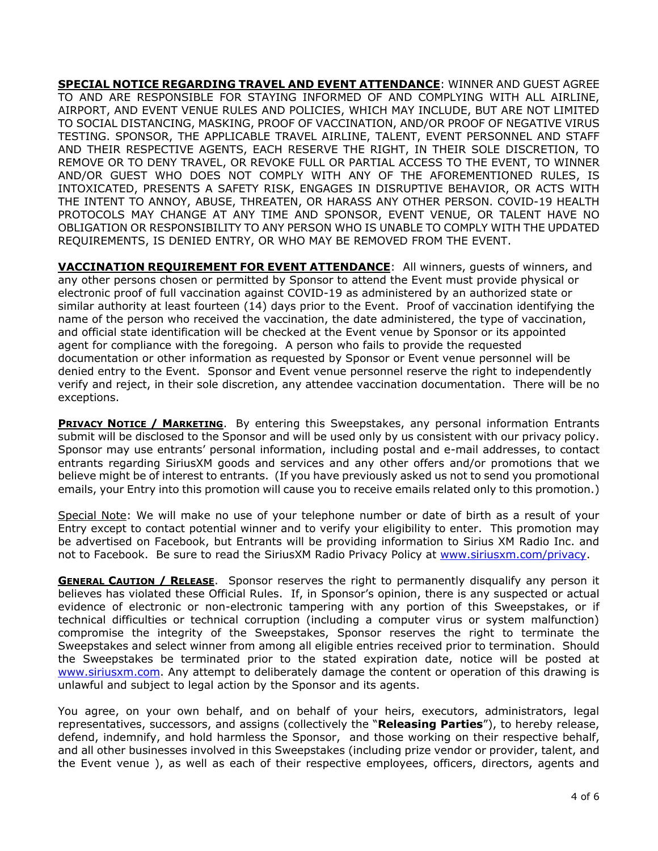**SPECIAL NOTICE REGARDING TRAVEL AND EVENT ATTENDANCE**: WINNER AND GUEST AGREE TO AND ARE RESPONSIBLE FOR STAYING INFORMED OF AND COMPLYING WITH ALL AIRLINE, AIRPORT, AND EVENT VENUE RULES AND POLICIES, WHICH MAY INCLUDE, BUT ARE NOT LIMITED TO SOCIAL DISTANCING, MASKING, PROOF OF VACCINATION, AND/OR PROOF OF NEGATIVE VIRUS TESTING. SPONSOR, THE APPLICABLE TRAVEL AIRLINE, TALENT, EVENT PERSONNEL AND STAFF AND THEIR RESPECTIVE AGENTS, EACH RESERVE THE RIGHT, IN THEIR SOLE DISCRETION, TO REMOVE OR TO DENY TRAVEL, OR REVOKE FULL OR PARTIAL ACCESS TO THE EVENT, TO WINNER AND/OR GUEST WHO DOES NOT COMPLY WITH ANY OF THE AFOREMENTIONED RULES, IS INTOXICATED, PRESENTS A SAFETY RISK, ENGAGES IN DISRUPTIVE BEHAVIOR, OR ACTS WITH THE INTENT TO ANNOY, ABUSE, THREATEN, OR HARASS ANY OTHER PERSON. COVID-19 HEALTH PROTOCOLS MAY CHANGE AT ANY TIME AND SPONSOR, EVENT VENUE, OR TALENT HAVE NO OBLIGATION OR RESPONSIBILITY TO ANY PERSON WHO IS UNABLE TO COMPLY WITH THE UPDATED REQUIREMENTS, IS DENIED ENTRY, OR WHO MAY BE REMOVED FROM THE EVENT.

**VACCINATION REQUIREMENT FOR EVENT ATTENDANCE**: All winners, guests of winners, and any other persons chosen or permitted by Sponsor to attend the Event must provide physical or electronic proof of full vaccination against COVID-19 as administered by an authorized state or similar authority at least fourteen (14) days prior to the Event. Proof of vaccination identifying the name of the person who received the vaccination, the date administered, the type of vaccination, and official state identification will be checked at the Event venue by Sponsor or its appointed agent for compliance with the foregoing. A person who fails to provide the requested documentation or other information as requested by Sponsor or Event venue personnel will be denied entry to the Event. Sponsor and Event venue personnel reserve the right to independently verify and reject, in their sole discretion, any attendee vaccination documentation. There will be no exceptions.

**PRIVACY NOTICE / MARKETING**. By entering this Sweepstakes, any personal information Entrants submit will be disclosed to the Sponsor and will be used only by us consistent with our privacy policy. Sponsor may use entrants' personal information, including postal and e-mail addresses, to contact entrants regarding SiriusXM goods and services and any other offers and/or promotions that we believe might be of interest to entrants. (If you have previously asked us not to send you promotional emails, your Entry into this promotion will cause you to receive emails related only to this promotion.)

Special Note: We will make no use of your telephone number or date of birth as a result of your Entry except to contact potential winner and to verify your eligibility to enter. This promotion may be advertised on Facebook, but Entrants will be providing information to Sirius XM Radio Inc. and not to Facebook. Be sure to read the SiriusXM Radio Privacy Policy at [www.siriusxm.com/privacy.](http://www.siriusxm.com/privacy)

**GENERAL CAUTION / RELEASE**. Sponsor reserves the right to permanently disqualify any person it believes has violated these Official Rules. If, in Sponsor's opinion, there is any suspected or actual evidence of electronic or non-electronic tampering with any portion of this Sweepstakes, or if technical difficulties or technical corruption (including a computer virus or system malfunction) compromise the integrity of the Sweepstakes, Sponsor reserves the right to terminate the Sweepstakes and select winner from among all eligible entries received prior to termination. Should the Sweepstakes be terminated prior to the stated expiration date, notice will be posted at [www.siriusxm.com.](http://www.siriusxm.com/) Any attempt to deliberately damage the content or operation of this drawing is unlawful and subject to legal action by the Sponsor and its agents.

You agree, on your own behalf, and on behalf of your heirs, executors, administrators, legal representatives, successors, and assigns (collectively the "**Releasing Parties**"), to hereby release, defend, indemnify, and hold harmless the Sponsor, and those working on their respective behalf, and all other businesses involved in this Sweepstakes (including prize vendor or provider, talent, and the Event venue ), as well as each of their respective employees, officers, directors, agents and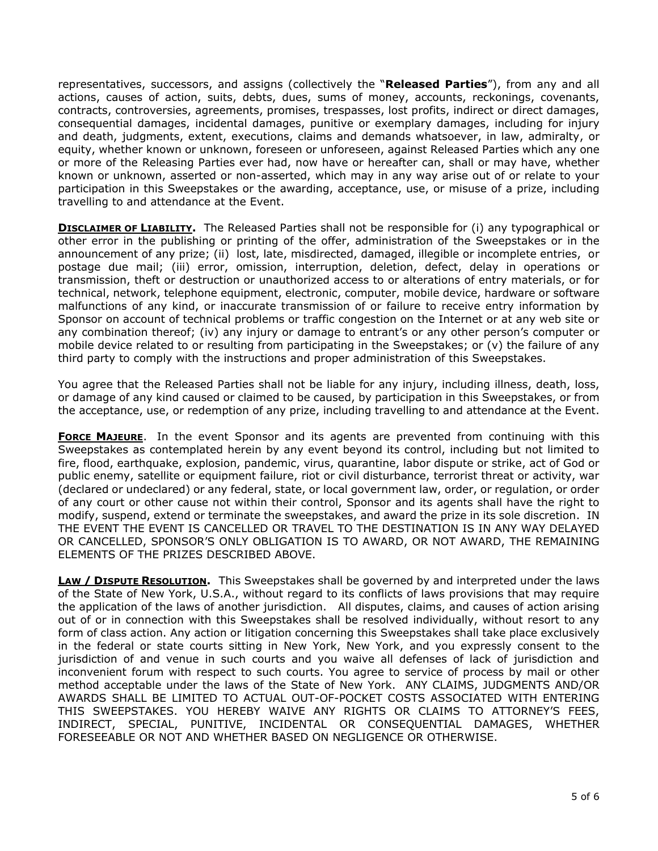representatives, successors, and assigns (collectively the "**Released Parties**"), from any and all actions, causes of action, suits, debts, dues, sums of money, accounts, reckonings, covenants, contracts, controversies, agreements, promises, trespasses, lost profits, indirect or direct damages, consequential damages, incidental damages, punitive or exemplary damages, including for injury and death, judgments, extent, executions, claims and demands whatsoever, in law, admiralty, or equity, whether known or unknown, foreseen or unforeseen, against Released Parties which any one or more of the Releasing Parties ever had, now have or hereafter can, shall or may have, whether known or unknown, asserted or non-asserted, which may in any way arise out of or relate to your participation in this Sweepstakes or the awarding, acceptance, use, or misuse of a prize, including travelling to and attendance at the Event.

**DISCLAIMER OF LIABILITY.** The Released Parties shall not be responsible for (i) any typographical or other error in the publishing or printing of the offer, administration of the Sweepstakes or in the announcement of any prize; (ii) lost, late, misdirected, damaged, illegible or incomplete entries, or postage due mail; (iii) error, omission, interruption, deletion, defect, delay in operations or transmission, theft or destruction or unauthorized access to or alterations of entry materials, or for technical, network, telephone equipment, electronic, computer, mobile device, hardware or software malfunctions of any kind, or inaccurate transmission of or failure to receive entry information by Sponsor on account of technical problems or traffic congestion on the Internet or at any web site or any combination thereof; (iv) any injury or damage to entrant's or any other person's computer or mobile device related to or resulting from participating in the Sweepstakes; or (v) the failure of any third party to comply with the instructions and proper administration of this Sweepstakes.

You agree that the Released Parties shall not be liable for any injury, including illness, death, loss, or damage of any kind caused or claimed to be caused, by participation in this Sweepstakes, or from the acceptance, use, or redemption of any prize, including travelling to and attendance at the Event.

**FORCE MAJEURE**. In the event Sponsor and its agents are prevented from continuing with this Sweepstakes as contemplated herein by any event beyond its control, including but not limited to fire, flood, earthquake, explosion, pandemic, virus, quarantine, labor dispute or strike, act of God or public enemy, satellite or equipment failure, riot or civil disturbance, terrorist threat or activity, war (declared or undeclared) or any federal, state, or local government law, order, or regulation, or order of any court or other cause not within their control, Sponsor and its agents shall have the right to modify, suspend, extend or terminate the sweepstakes, and award the prize in its sole discretion. IN THE EVENT THE EVENT IS CANCELLED OR TRAVEL TO THE DESTINATION IS IN ANY WAY DELAYED OR CANCELLED, SPONSOR'S ONLY OBLIGATION IS TO AWARD, OR NOT AWARD, THE REMAINING ELEMENTS OF THE PRIZES DESCRIBED ABOVE.

**LAW / DISPUTE RESOLUTION.** This Sweepstakes shall be governed by and interpreted under the laws of the State of New York, U.S.A., without regard to its conflicts of laws provisions that may require the application of the laws of another jurisdiction. All disputes, claims, and causes of action arising out of or in connection with this Sweepstakes shall be resolved individually, without resort to any form of class action. Any action or litigation concerning this Sweepstakes shall take place exclusively in the federal or state courts sitting in New York, New York, and you expressly consent to the jurisdiction of and venue in such courts and you waive all defenses of lack of jurisdiction and inconvenient forum with respect to such courts. You agree to service of process by mail or other method acceptable under the laws of the State of New York. ANY CLAIMS, JUDGMENTS AND/OR AWARDS SHALL BE LIMITED TO ACTUAL OUT-OF-POCKET COSTS ASSOCIATED WITH ENTERING THIS SWEEPSTAKES. YOU HEREBY WAIVE ANY RIGHTS OR CLAIMS TO ATTORNEY'S FEES, INDIRECT, SPECIAL, PUNITIVE, INCIDENTAL OR CONSEQUENTIAL DAMAGES, WHETHER FORESEEABLE OR NOT AND WHETHER BASED ON NEGLIGENCE OR OTHERWISE.